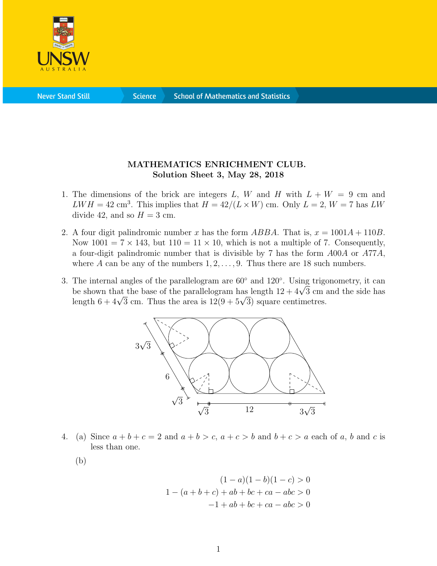

**Science** 

## MATHEMATICS ENRICHMENT CLUB. Solution Sheet 3, May 28, 2018

- 1. The dimensions of the brick are integers L, W and H with  $L + W = 9$  cm and  $LWH = 42$  cm<sup>3</sup>. This implies that  $H = 42/(L \times W)$  cm. Only  $L = 2$ ,  $W = 7$  has LW divide 42, and so  $H = 3$  cm.
- 2. A four digit palindromic number x has the form ABBA. That is,  $x = 1001A + 110B$ . Now  $1001 = 7 \times 143$ , but  $110 = 11 \times 10$ , which is not a multiple of 7. Consequently, a four-digit palindromic number that is divisible by 7 has the form A00A or A77A, where A can be any of the numbers  $1, 2, \ldots, 9$ . Thus there are 18 such numbers.
- 3. The internal angles of the parallelogram are 60◦ and 120◦ . Using trigonometry, it can The internal angles of the parallelogram are out and  $120^{\circ}$ . Using trigonometry, it can<br>be shown that the base of the parallelogram has length  $12 + 4\sqrt{3}$  cm and the side has be snown that the base of the parallelogram has length  $12 + 4\sqrt{3}$  cm.<br>length  $6 + 4\sqrt{3}$  cm. Thus the area is  $12(9 + 5\sqrt{3})$  square centimetres.



- 4. (a) Since  $a + b + c = 2$  and  $a + b > c$ ,  $a + c > b$  and  $b + c > a$  each of a, b and c is less than one.
	- (b)

$$
(1 - a)(1 - b)(1 - c) > 0
$$
  
1 - (a + b + c) + ab + bc + ca - abc > 0  
-1 + ab + bc + ca - abc > 0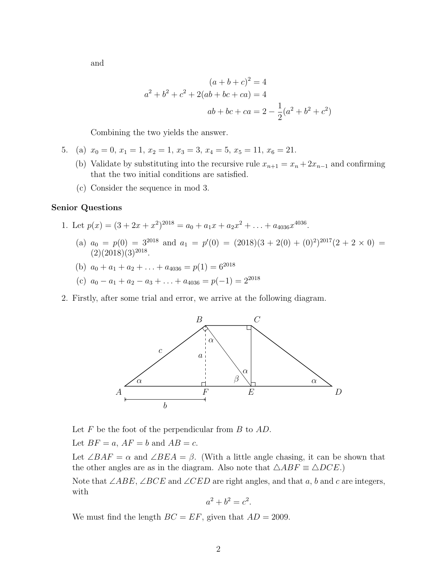and

$$
(a+b+c)^2 = 4
$$
  

$$
a^2 + b^2 + c^2 + 2(ab+bc+ca) = 4
$$
  

$$
ab+bc+ca = 2 - \frac{1}{2}(a^2 + b^2 + c^2)
$$

Combining the two yields the answer.

- 5. (a)  $x_0 = 0, x_1 = 1, x_2 = 1, x_3 = 3, x_4 = 5, x_5 = 11, x_6 = 21.$ 
	- (b) Validate by substituting into the recursive rule  $x_{n+1} = x_n + 2x_{n-1}$  and confirming that the two initial conditions are satisfied.
	- (c) Consider the sequence in mod 3.

## Senior Questions

- 1. Let  $p(x) = (3 + 2x + x^2)^{2018} = a_0 + a_1x + a_2x^2 + \ldots + a_{4036}x^{4036}$ .
	- (a)  $a_0 = p(0) = 3^{2018}$  and  $a_1 = p'(0) = (2018)(3 + 2(0) + (0)^2)^{2017}(2 + 2 \times 0) =$  $(2)(2018)(3)^{2018}.$
	- (b)  $a_0 + a_1 + a_2 + \ldots + a_{4036} = p(1) = 6^{2018}$
	- (c)  $a_0 a_1 + a_2 a_3 + \ldots + a_{4036} = p(-1) = 2^{2018}$
- 2. Firstly, after some trial and error, we arrive at the following diagram.



Let  $F$  be the foot of the perpendicular from  $B$  to  $AD$ .

Let  $BF = a$ ,  $AF = b$  and  $AB = c$ .

Let  $\angle BAF = \alpha$  and  $\angle BEA = \beta$ . (With a little angle chasing, it can be shown that the other angles are as in the diagram. Also note that  $\triangle ABF \equiv \triangle DCE$ .)

Note that  $\angle ABE$ ,  $\angle BCE$  and  $\angle CED$  are right angles, and that a, b and c are integers, with

$$
a^2 + b^2 = c^2.
$$

We must find the length  $BC = EF$ , given that  $AD = 2009$ .